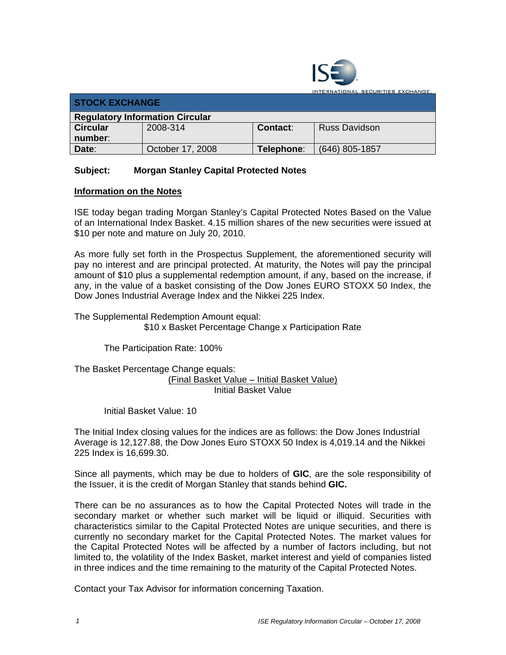

TIONAL SECURITIES EXCHANGE.

| <b>STOCK EXCHANGE</b>                  |                  |            |                      |  |  |
|----------------------------------------|------------------|------------|----------------------|--|--|
| <b>Regulatory Information Circular</b> |                  |            |                      |  |  |
| <b>Circular</b>                        | 2008-314         | Contact:   | <b>Russ Davidson</b> |  |  |
| number:                                |                  |            |                      |  |  |
| Date:                                  | October 17, 2008 | Telephone: | (646) 805-1857       |  |  |

## **Subject: Morgan Stanley Capital Protected Notes**

## **Information on the Notes**

ISE today began trading Morgan Stanley's Capital Protected Notes Based on the Value of an International Index Basket. 4.15 million shares of the new securities were issued at \$10 per note and mature on July 20, 2010.

As more fully set forth in the Prospectus Supplement, the aforementioned security will pay no interest and are principal protected. At maturity, the Notes will pay the principal amount of \$10 plus a supplemental redemption amount, if any, based on the increase, if any, in the value of a basket consisting of the Dow Jones EURO STOXX 50 Index, the Dow Jones Industrial Average Index and the Nikkei 225 Index.

The Supplemental Redemption Amount equal: \$10 x Basket Percentage Change x Participation Rate

The Participation Rate: 100%

The Basket Percentage Change equals: (Final Basket Value – Initial Basket Value) Initial Basket Value

Initial Basket Value: 10

The Initial Index closing values for the indices are as follows: the Dow Jones Industrial Average is 12,127.88, the Dow Jones Euro STOXX 50 Index is 4,019.14 and the Nikkei 225 Index is 16,699.30.

Since all payments, which may be due to holders of **GIC**, are the sole responsibility of the Issuer, it is the credit of Morgan Stanley that stands behind **GIC.** 

There can be no assurances as to how the Capital Protected Notes will trade in the secondary market or whether such market will be liquid or illiquid. Securities with characteristics similar to the Capital Protected Notes are unique securities, and there is currently no secondary market for the Capital Protected Notes. The market values for the Capital Protected Notes will be affected by a number of factors including, but not limited to, the volatility of the Index Basket, market interest and yield of companies listed in three indices and the time remaining to the maturity of the Capital Protected Notes.

Contact your Tax Advisor for information concerning Taxation.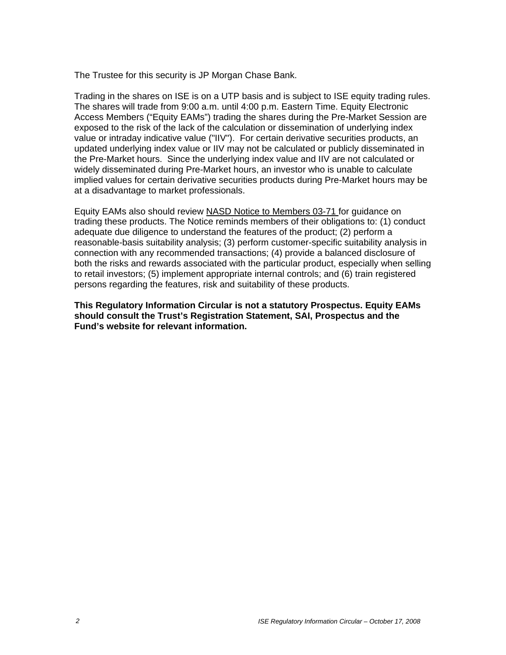The Trustee for this security is JP Morgan Chase Bank.

Trading in the shares on ISE is on a UTP basis and is subject to ISE equity trading rules. The shares will trade from 9:00 a.m. until 4:00 p.m. Eastern Time. Equity Electronic Access Members ("Equity EAMs") trading the shares during the Pre-Market Session are exposed to the risk of the lack of the calculation or dissemination of underlying index value or intraday indicative value ("IIV"). For certain derivative securities products, an updated underlying index value or IIV may not be calculated or publicly disseminated in the Pre-Market hours. Since the underlying index value and IIV are not calculated or widely disseminated during Pre-Market hours, an investor who is unable to calculate implied values for certain derivative securities products during Pre-Market hours may be at a disadvantage to market professionals.

Equity EAMs also should review NASD Notice to Members 03-71 for guidance on trading these products. The Notice reminds members of their obligations to: (1) conduct adequate due diligence to understand the features of the product; (2) perform a reasonable-basis suitability analysis; (3) perform customer-specific suitability analysis in connection with any recommended transactions; (4) provide a balanced disclosure of both the risks and rewards associated with the particular product, especially when selling to retail investors; (5) implement appropriate internal controls; and (6) train registered persons regarding the features, risk and suitability of these products.

**This Regulatory Information Circular is not a statutory Prospectus. Equity EAMs should consult the Trust's Registration Statement, SAI, Prospectus and the Fund's website for relevant information.**